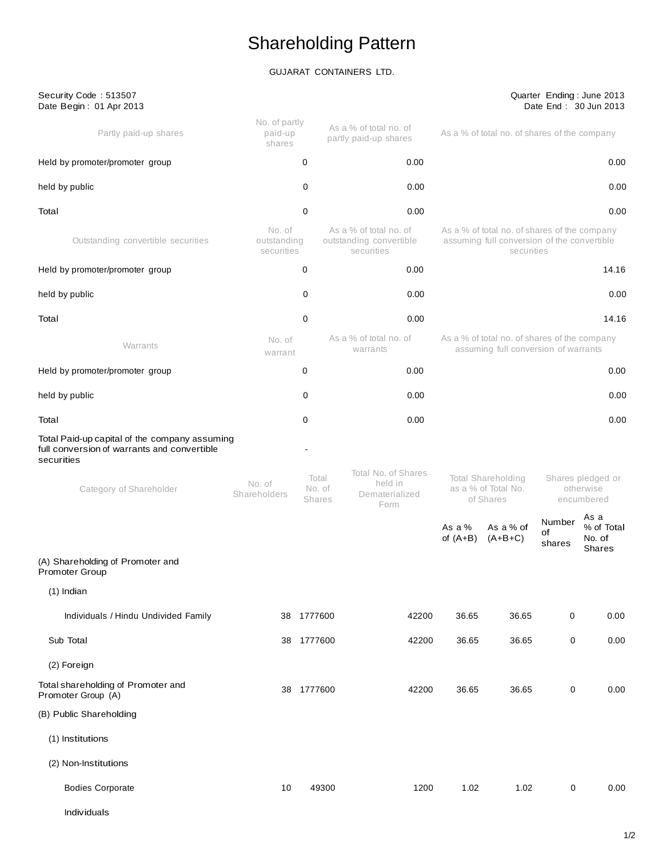# Shareholding Pattern

GUJARAT CONTAINERS LTD.

| Security Code: 513507<br>Date Begin: 01 Apr 2013                                                           |                                     |                                  |                                                                 |                        |                                                                                                           |                        | Quarter Ending: June 2013<br>Date End: 30 Jun 2013 |
|------------------------------------------------------------------------------------------------------------|-------------------------------------|----------------------------------|-----------------------------------------------------------------|------------------------|-----------------------------------------------------------------------------------------------------------|------------------------|----------------------------------------------------|
| Partly paid-up shares                                                                                      | No. of partly<br>paid-up<br>shares  |                                  | As a % of total no. of<br>partly paid-up shares                 |                        | As a % of total no. of shares of the company                                                              |                        |                                                    |
| Held by promoter/promoter group                                                                            |                                     | 0                                | 0.00                                                            |                        |                                                                                                           |                        | 0.00                                               |
| held by public                                                                                             |                                     | 0                                | 0.00                                                            |                        |                                                                                                           |                        | 0.00                                               |
| Total                                                                                                      |                                     | 0                                | 0.00                                                            |                        |                                                                                                           |                        | 0.00                                               |
| Outstanding convertible securities                                                                         | No. of<br>outstanding<br>securities |                                  | As a % of total no. of<br>outstanding convertible<br>securities |                        | As a % of total no. of shares of the company<br>assuming full conversion of the convertible<br>securities |                        |                                                    |
| Held by promoter/promoter group                                                                            |                                     | 0                                | 0.00                                                            |                        |                                                                                                           |                        | 14.16                                              |
| held by public                                                                                             |                                     | 0                                | 0.00                                                            |                        |                                                                                                           |                        | 0.00                                               |
| Total                                                                                                      |                                     | 0                                | 0.00                                                            |                        |                                                                                                           |                        | 14.16                                              |
| Warrants                                                                                                   | No. of<br>warrant                   |                                  | As a % of total no. of<br>warrants                              |                        | As a % of total no. of shares of the company<br>assuming full conversion of warrants                      |                        |                                                    |
| Held by promoter/promoter group                                                                            |                                     | 0                                | 0.00                                                            |                        |                                                                                                           |                        | 0.00                                               |
| held by public                                                                                             |                                     | 0                                | 0.00                                                            |                        |                                                                                                           |                        | 0.00                                               |
| Total                                                                                                      |                                     | 0                                | 0.00                                                            |                        |                                                                                                           |                        | 0.00                                               |
| Total Paid-up capital of the company assuming<br>full conversion of warrants and convertible<br>securities |                                     |                                  |                                                                 |                        |                                                                                                           |                        |                                                    |
| Category of Shareholder                                                                                    | No. of<br>Shareholders              | Total<br>No. of<br><b>Shares</b> | Total No. of Shares<br>held in<br>Dematerialized<br>Form        |                        | Total Shareholding<br>as a % of Total No.<br>of Shares                                                    |                        | Shares pledged or<br>otherwise<br>encumbered       |
|                                                                                                            |                                     |                                  |                                                                 | As a $%$<br>of $(A+B)$ | As a % of<br>$(A+B+C)$                                                                                    | Number<br>of<br>shares | As a<br>% of Total<br>No. of<br><b>Shares</b>      |
| (A) Shareholding of Promoter and<br>Promoter Group                                                         |                                     |                                  |                                                                 |                        |                                                                                                           |                        |                                                    |
| $(1)$ Indian                                                                                               |                                     |                                  |                                                                 |                        |                                                                                                           |                        |                                                    |
| Individuals / Hindu Undivided Family                                                                       |                                     | 38 1777600                       | 42200                                                           | 36.65                  | 36.65                                                                                                     | 0                      | 0.00                                               |
| Sub Total                                                                                                  |                                     | 38 1777600                       | 42200                                                           | 36.65                  | 36.65                                                                                                     | 0                      | 0.00                                               |
| (2) Foreign                                                                                                |                                     |                                  |                                                                 |                        |                                                                                                           |                        |                                                    |
| Total shareholding of Promoter and<br>Promoter Group (A)                                                   |                                     | 38 1777600                       | 42200                                                           | 36.65                  | 36.65                                                                                                     | $\mathbf 0$            | 0.00                                               |
| (B) Public Shareholding                                                                                    |                                     |                                  |                                                                 |                        |                                                                                                           |                        |                                                    |
| (1) Institutions                                                                                           |                                     |                                  |                                                                 |                        |                                                                                                           |                        |                                                    |
| (2) Non-Institutions                                                                                       |                                     |                                  |                                                                 |                        |                                                                                                           |                        |                                                    |
| <b>Bodies Corporate</b>                                                                                    | 10                                  | 49300                            | 1200                                                            | 1.02                   | 1.02                                                                                                      | $\mathbf 0$            | 0.00                                               |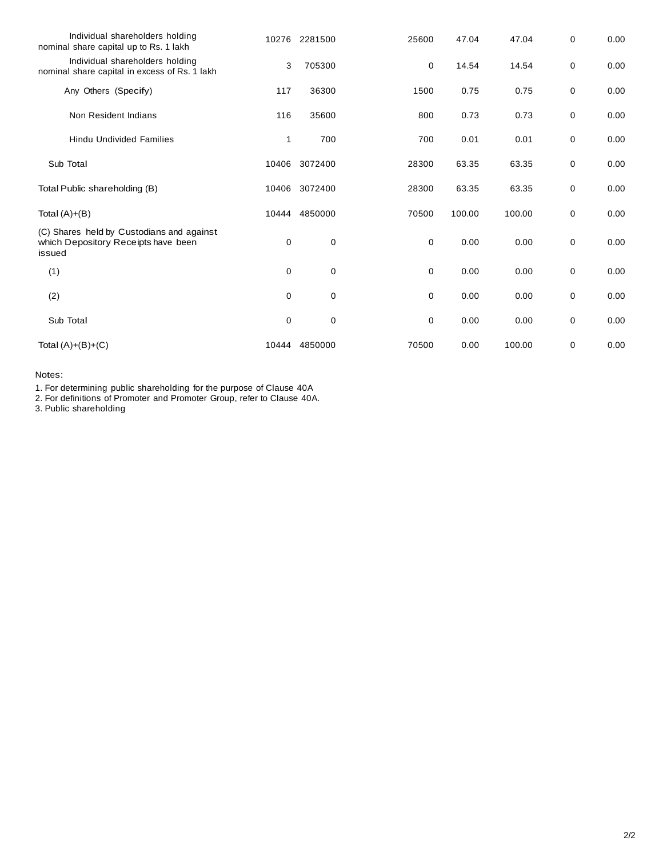| Individual shareholders holding<br>nominal share capital up to Rs. 1 lakh                  |             | 10276 2281500 | 25600       | 47.04  | 47.04  | $\mathbf 0$ | 0.00 |
|--------------------------------------------------------------------------------------------|-------------|---------------|-------------|--------|--------|-------------|------|
| Individual shareholders holding<br>nominal share capital in excess of Rs. 1 lakh           | 3           | 705300        | 0           | 14.54  | 14.54  | 0           | 0.00 |
| Any Others (Specify)                                                                       | 117         | 36300         | 1500        | 0.75   | 0.75   | 0           | 0.00 |
| Non Resident Indians                                                                       | 116         | 35600         | 800         | 0.73   | 0.73   | 0           | 0.00 |
| <b>Hindu Undivided Families</b>                                                            | 1           | 700           | 700         | 0.01   | 0.01   | 0           | 0.00 |
| Sub Total                                                                                  |             | 10406 3072400 | 28300       | 63.35  | 63.35  | 0           | 0.00 |
| Total Public shareholding (B)                                                              | 10406       | 3072400       | 28300       | 63.35  | 63.35  | 0           | 0.00 |
| Total $(A)+(B)$                                                                            | 10444       | 4850000       | 70500       | 100.00 | 100.00 | 0           | 0.00 |
| (C) Shares held by Custodians and against<br>which Depository Receipts have been<br>issued | 0           | 0             | 0           | 0.00   | 0.00   | 0           | 0.00 |
| (1)                                                                                        | $\mathbf 0$ | 0             | $\mathbf 0$ | 0.00   | 0.00   | 0           | 0.00 |
| (2)                                                                                        | $\mathbf 0$ | 0             | 0           | 0.00   | 0.00   | 0           | 0.00 |
| Sub Total                                                                                  | 0           | 0             | 0           | 0.00   | 0.00   | 0           | 0.00 |
| Total $(A)+(B)+(C)$                                                                        | 10444       | 4850000       | 70500       | 0.00   | 100.00 | 0           | 0.00 |

Notes:

1. For determining public shareholding for the purpose of Clause 40A

2. For definitions of Promoter and Promoter Group, refer to Clause 40A.

3. Public shareholding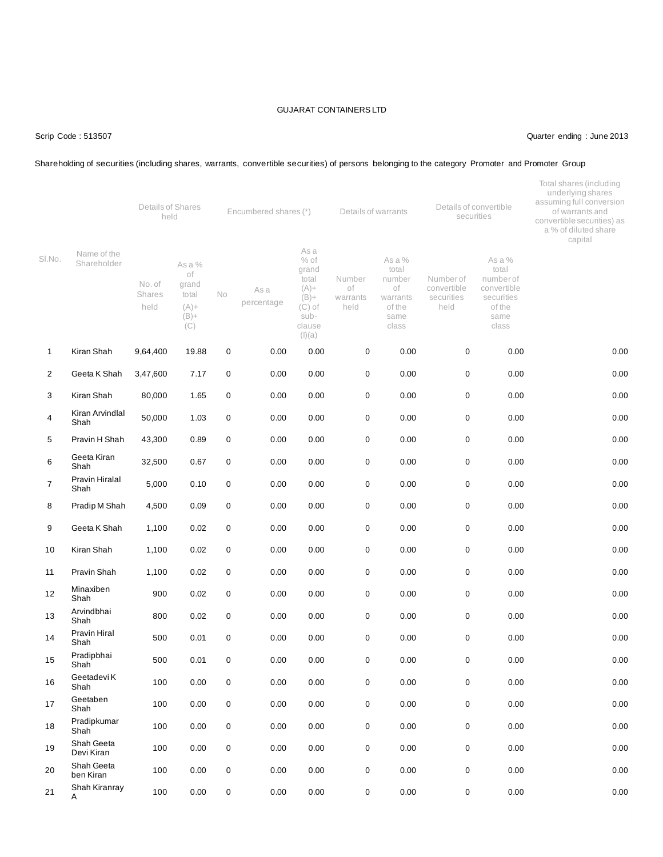#### Scrip Code : 513507 Quarter ending : June 2013

#### Shareholding of securities (including shares, warrants, convertible securities) of persons belonging to the category Promoter and Promoter Group

|                |                             | Details of Shares<br>held |                                                             |     | Encumbered shares (*) |                                                                                                |                                  | Details of warrants                                                    |                                               | Details of convertible<br>securities                                                 | Total shares (including<br>underlying shares<br>assuming full conversion<br>of warrants and<br>convertible securities) as<br>a % of diluted share<br>capital |
|----------------|-----------------------------|---------------------------|-------------------------------------------------------------|-----|-----------------------|------------------------------------------------------------------------------------------------|----------------------------------|------------------------------------------------------------------------|-----------------------------------------------|--------------------------------------------------------------------------------------|--------------------------------------------------------------------------------------------------------------------------------------------------------------|
| SI.No.         | Name of the<br>Shareholder  | No. of<br>Shares<br>held  | As a %<br>οf<br>grand<br>total<br>$(A) +$<br>$(B) +$<br>(C) | No. | As a<br>percentage    | As a<br>$%$ of<br>grand<br>total<br>$(A) +$<br>$(B) +$<br>$(C)$ of<br>sub-<br>clause<br>(I)(a) | Number<br>оf<br>warrants<br>held | As a %<br>total<br>number<br>of<br>warrants<br>of the<br>same<br>class | Numberof<br>convertible<br>securities<br>held | As a %<br>total<br>number of<br>convertible<br>securities<br>of the<br>same<br>class |                                                                                                                                                              |
| $\mathbf{1}$   | Kiran Shah                  | 9,64,400                  | 19.88                                                       | 0   | 0.00                  | 0.00                                                                                           | $\mathbf 0$                      | 0.00                                                                   | $\mathbf 0$                                   | 0.00                                                                                 | 0.00                                                                                                                                                         |
| $\overline{2}$ | Geeta K Shah                | 3,47,600                  | 7.17                                                        | 0   | 0.00                  | 0.00                                                                                           | 0                                | 0.00                                                                   | 0                                             | 0.00                                                                                 | 0.00                                                                                                                                                         |
| 3              | Kiran Shah                  | 80,000                    | 1.65                                                        | 0   | 0.00                  | 0.00                                                                                           | 0                                | 0.00                                                                   | $\pmb{0}$                                     | 0.00                                                                                 | 0.00                                                                                                                                                         |
| 4              | Kiran Arvindlal<br>Shah     | 50,000                    | 1.03                                                        | 0   | 0.00                  | 0.00                                                                                           | 0                                | 0.00                                                                   | $\mathbf 0$                                   | 0.00                                                                                 | 0.00                                                                                                                                                         |
| 5              | Pravin H Shah               | 43,300                    | 0.89                                                        | 0   | 0.00                  | 0.00                                                                                           | 0                                | 0.00                                                                   | 0                                             | 0.00                                                                                 | 0.00                                                                                                                                                         |
| 6              | Geeta Kiran<br>Shah         | 32,500                    | 0.67                                                        | 0   | 0.00                  | 0.00                                                                                           | 0                                | 0.00                                                                   | 0                                             | 0.00                                                                                 | 0.00                                                                                                                                                         |
| 7              | Pravin Hiralal<br>Shah      | 5,000                     | 0.10                                                        | 0   | 0.00                  | 0.00                                                                                           | 0                                | 0.00                                                                   | 0                                             | 0.00                                                                                 | 0.00                                                                                                                                                         |
| 8              | Pradip M Shah               | 4,500                     | 0.09                                                        | 0   | 0.00                  | 0.00                                                                                           | 0                                | 0.00                                                                   | $\pmb{0}$                                     | 0.00                                                                                 | 0.00                                                                                                                                                         |
| 9              | Geeta K Shah                | 1,100                     | 0.02                                                        | 0   | 0.00                  | 0.00                                                                                           | 0                                | 0.00                                                                   | 0                                             | 0.00                                                                                 | 0.00                                                                                                                                                         |
| 10             | Kiran Shah                  | 1,100                     | 0.02                                                        | 0   | 0.00                  | 0.00                                                                                           | 0                                | 0.00                                                                   | 0                                             | 0.00                                                                                 | 0.00                                                                                                                                                         |
| 11             | Pravin Shah                 | 1,100                     | 0.02                                                        | 0   | 0.00                  | 0.00                                                                                           | 0                                | 0.00                                                                   | $\mathbf 0$                                   | 0.00                                                                                 | 0.00                                                                                                                                                         |
| 12             | Minaxiben<br>Shah           | 900                       | 0.02                                                        | 0   | 0.00                  | 0.00                                                                                           | 0                                | 0.00                                                                   | $\mathbf 0$                                   | 0.00                                                                                 | 0.00                                                                                                                                                         |
| 13             | Arvindbhai<br>Shah          | 800                       | 0.02                                                        | 0   | 0.00                  | 0.00                                                                                           | 0                                | 0.00                                                                   | 0                                             | 0.00                                                                                 | 0.00                                                                                                                                                         |
| 14             | <b>Pravin Hiral</b><br>Shah | 500                       | 0.01                                                        | 0   | 0.00                  | 0.00                                                                                           | 0                                | 0.00                                                                   | $\mathbf 0$                                   | 0.00                                                                                 | 0.00                                                                                                                                                         |
| 15             | Pradipbhai<br>Shah          | 500                       | 0.01                                                        | 0   | 0.00                  | 0.00                                                                                           | 0                                | 0.00                                                                   | 0                                             | 0.00                                                                                 | 0.00                                                                                                                                                         |
| 16             | Geetadevi K<br>Shah         | 100                       | 0.00                                                        | 0   | 0.00                  | 0.00                                                                                           | 0                                | 0.00                                                                   | $\pmb{0}$                                     | 0.00                                                                                 | 0.00                                                                                                                                                         |
| 17             | Geetaben<br>Shah            | 100                       | 0.00                                                        | 0   | 0.00                  | 0.00                                                                                           | $\mathsf 0$                      | 0.00                                                                   | $\pmb{0}$                                     | 0.00                                                                                 | 0.00                                                                                                                                                         |
| 18             | Pradipkumar<br>Shah         | 100                       | 0.00                                                        | 0   | 0.00                  | 0.00                                                                                           | 0                                | 0.00                                                                   | $\pmb{0}$                                     | 0.00                                                                                 | 0.00                                                                                                                                                         |
| 19             | Shah Geeta<br>Devi Kiran    | 100                       | 0.00                                                        | 0   | 0.00                  | 0.00                                                                                           | 0                                | 0.00                                                                   | 0                                             | 0.00                                                                                 | 0.00                                                                                                                                                         |
| 20             | Shah Geeta<br>ben Kiran     | 100                       | 0.00                                                        | 0   | 0.00                  | 0.00                                                                                           | 0                                | 0.00                                                                   | $\pmb{0}$                                     | 0.00                                                                                 | 0.00                                                                                                                                                         |
| 21             | Shah Kiranray<br>Α          | 100                       | 0.00                                                        | 0   | 0.00                  | 0.00                                                                                           | $\mathbf 0$                      | 0.00                                                                   | 0                                             | 0.00                                                                                 | 0.00                                                                                                                                                         |
|                |                             |                           |                                                             |     |                       |                                                                                                |                                  |                                                                        |                                               |                                                                                      |                                                                                                                                                              |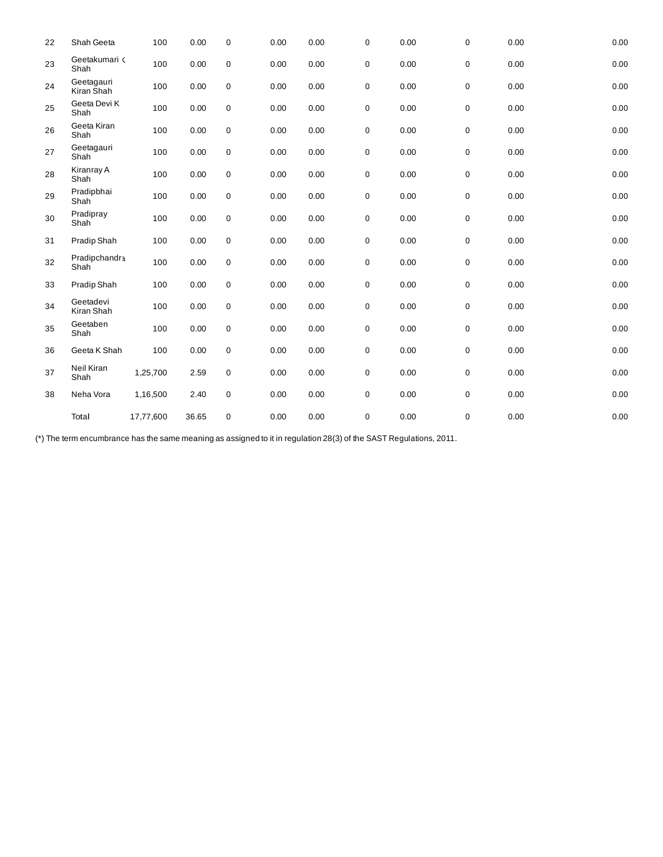| 22 | Shah Geeta               | 100       | 0.00  | 0           | 0.00 | 0.00 | 0           | 0.00 | 0 | 0.00 | 0.00 |
|----|--------------------------|-----------|-------|-------------|------|------|-------------|------|---|------|------|
| 23 | Geetakumari <<br>Shah    | 100       | 0.00  | $\mathbf 0$ | 0.00 | 0.00 | 0           | 0.00 | 0 | 0.00 | 0.00 |
| 24 | Geetagauri<br>Kiran Shah | 100       | 0.00  | 0           | 0.00 | 0.00 | $\pmb{0}$   | 0.00 | 0 | 0.00 | 0.00 |
| 25 | Geeta Devi K<br>Shah     | 100       | 0.00  | $\mathbf 0$ | 0.00 | 0.00 | $\pmb{0}$   | 0.00 | 0 | 0.00 | 0.00 |
| 26 | Geeta Kiran<br>Shah      | 100       | 0.00  | $\mathbf 0$ | 0.00 | 0.00 | $\pmb{0}$   | 0.00 | 0 | 0.00 | 0.00 |
| 27 | Geetagauri<br>Shah       | 100       | 0.00  | $\mathbf 0$ | 0.00 | 0.00 | $\pmb{0}$   | 0.00 | 0 | 0.00 | 0.00 |
| 28 | Kiranray A<br>Shah       | 100       | 0.00  | 0           | 0.00 | 0.00 | $\pmb{0}$   | 0.00 | 0 | 0.00 | 0.00 |
| 29 | Pradipbhai<br>Shah       | 100       | 0.00  | $\mathbf 0$ | 0.00 | 0.00 | $\pmb{0}$   | 0.00 | 0 | 0.00 | 0.00 |
| 30 | Pradipray<br>Shah        | 100       | 0.00  | $\mathbf 0$ | 0.00 | 0.00 | $\pmb{0}$   | 0.00 | 0 | 0.00 | 0.00 |
| 31 | Pradip Shah              | 100       | 0.00  | $\mathbf 0$ | 0.00 | 0.00 | $\pmb{0}$   | 0.00 | 0 | 0.00 | 0.00 |
| 32 | Pradipchandra<br>Shah    | 100       | 0.00  | $\mathbf 0$ | 0.00 | 0.00 | $\pmb{0}$   | 0.00 | 0 | 0.00 | 0.00 |
| 33 | Pradip Shah              | 100       | 0.00  | $\mathbf 0$ | 0.00 | 0.00 | $\pmb{0}$   | 0.00 | 0 | 0.00 | 0.00 |
| 34 | Geetadevi<br>Kiran Shah  | 100       | 0.00  | $\mathbf 0$ | 0.00 | 0.00 | $\pmb{0}$   | 0.00 | 0 | 0.00 | 0.00 |
| 35 | Geetaben<br>Shah         | 100       | 0.00  | $\mathbf 0$ | 0.00 | 0.00 | $\pmb{0}$   | 0.00 | 0 | 0.00 | 0.00 |
| 36 | Geeta K Shah             | 100       | 0.00  | 0           | 0.00 | 0.00 | $\pmb{0}$   | 0.00 | 0 | 0.00 | 0.00 |
| 37 | Neil Kiran<br>Shah       | 1,25,700  | 2.59  | $\mathbf 0$ | 0.00 | 0.00 | $\pmb{0}$   | 0.00 | 0 | 0.00 | 0.00 |
| 38 | Neha Vora                | 1,16,500  | 2.40  | $\mathbf 0$ | 0.00 | 0.00 | $\pmb{0}$   | 0.00 | 0 | 0.00 | 0.00 |
|    | Total                    | 17,77,600 | 36.65 | $\mathbf 0$ | 0.00 | 0.00 | $\mathbf 0$ | 0.00 | 0 | 0.00 | 0.00 |

(\*) The term encumbrance has the same meaning as assigned to it in regulation 28(3) of the SAST Regulations, 2011.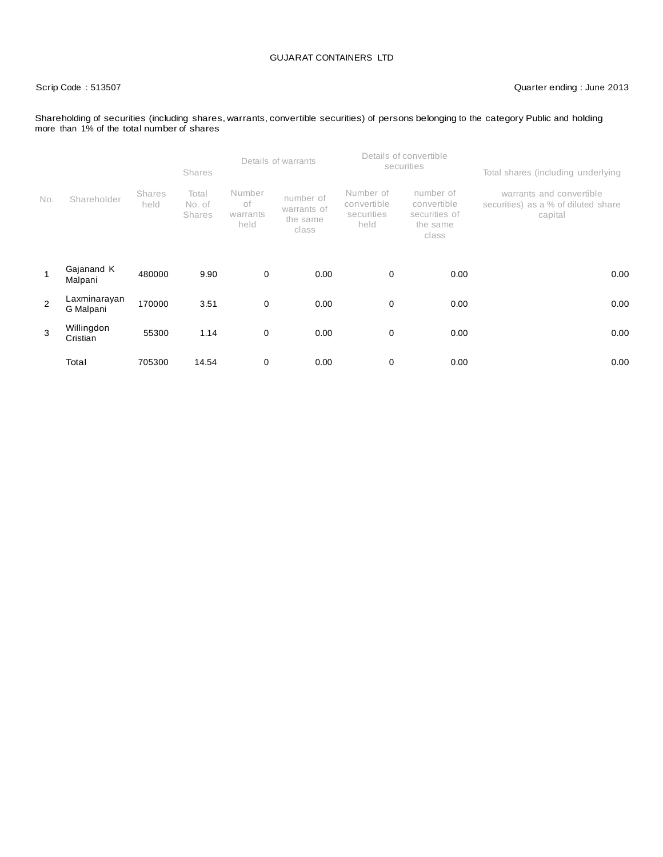#### Scrip Code : 513507 Quarter ending : June 2013

#### Shareholding of securities (including shares, warrants, convertible securities) of persons belonging to the category Public and holding more than 1% of the total number of shares

|     |                           |                       | <b>Shares</b>                    |                                  | Details of warrants                           |                                                | Details of convertible<br>securities                           | Total shares (including underlying                                         |      |
|-----|---------------------------|-----------------------|----------------------------------|----------------------------------|-----------------------------------------------|------------------------------------------------|----------------------------------------------------------------|----------------------------------------------------------------------------|------|
| No. | Shareholder               | <b>Shares</b><br>held | Total<br>No. of<br><b>Shares</b> | Number<br>οf<br>warrants<br>held | number of<br>warrants of<br>the same<br>class | Number of<br>convertible<br>securities<br>held | number of<br>convertible<br>securities of<br>the same<br>class | warrants and convertible<br>securities) as a % of diluted share<br>capital |      |
| 1   | Gajanand K<br>Malpani     | 480000                | 9.90                             | 0                                | 0.00                                          | 0                                              | 0.00                                                           |                                                                            | 0.00 |
| 2   | Laxminarayan<br>G Malpani | 170000                | 3.51                             | 0                                | 0.00                                          | 0                                              | 0.00                                                           |                                                                            | 0.00 |
| 3   | Willingdon<br>Cristian    | 55300                 | 1.14                             | 0                                | 0.00                                          | 0                                              | 0.00                                                           |                                                                            | 0.00 |
|     | Total                     | 705300                | 14.54                            | 0                                | 0.00                                          | 0                                              | 0.00                                                           |                                                                            | 0.00 |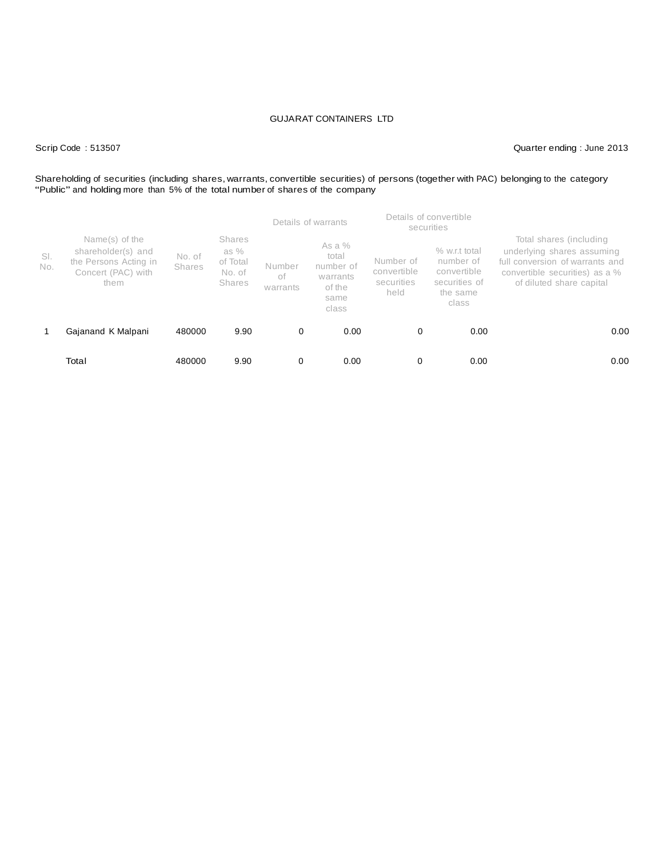Scrip Code : 513507 Quarter ending : June 2013

# Shareholding of securities (including shares, warrants, convertible securities) of persons (together with PAC) belonging to the category<br>"Public" and holding more than 5% of the total number of shares of the company

|            |                                                                                             |                         |                                                         |                          | Details of warrants                                                   |                                                | Details of convertible<br>securities                                            |                                                                                                                                                        |
|------------|---------------------------------------------------------------------------------------------|-------------------------|---------------------------------------------------------|--------------------------|-----------------------------------------------------------------------|------------------------------------------------|---------------------------------------------------------------------------------|--------------------------------------------------------------------------------------------------------------------------------------------------------|
| SI.<br>No. | Name(s) of the<br>shareholder(s) and<br>the Persons Acting in<br>Concert (PAC) with<br>them | No. of<br><b>Shares</b> | <b>Shares</b><br>as $%$<br>of Total<br>No. of<br>Shares | Number<br>оf<br>warrants | As a $%$<br>total<br>number of<br>warrants<br>of the<br>same<br>class | Number of<br>convertible<br>securities<br>held | % w.r.t total<br>number of<br>convertible<br>securities of<br>the same<br>class | Total shares (including<br>underlying shares assuming<br>full conversion of warrants and<br>convertible securities) as a %<br>of diluted share capital |
|            | Gajanand K Malpani                                                                          | 480000                  | 9.90                                                    | 0                        | 0.00                                                                  | $\mathbf 0$                                    | 0.00                                                                            | 0.00                                                                                                                                                   |
|            | Total                                                                                       | 480000                  | 9.90                                                    | 0                        | 0.00                                                                  | 0                                              | 0.00                                                                            | 0.00                                                                                                                                                   |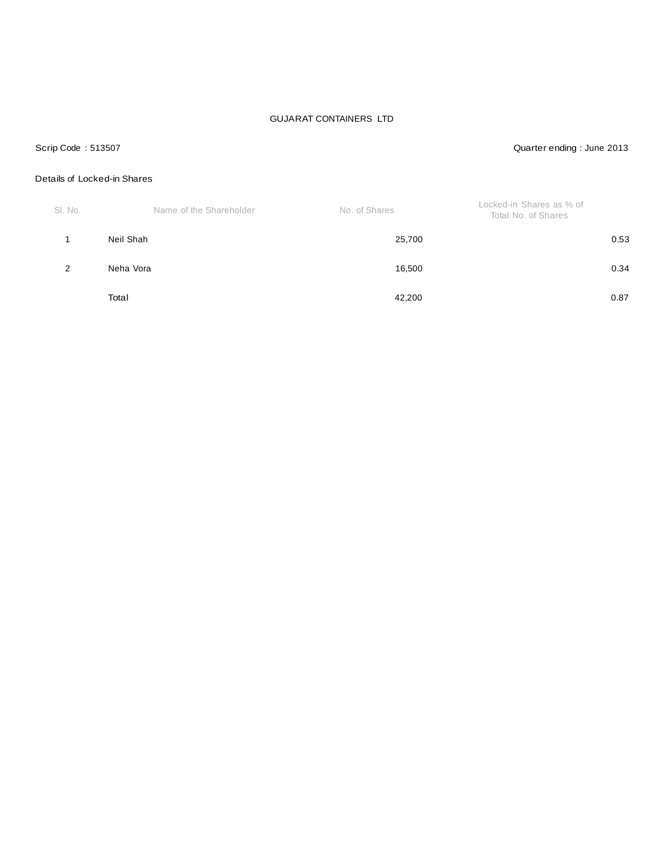#### Scrip Code : 513507 Quarter ending : June 2013

## Details of Locked-in Shares

| SI. No. | Name of the Shareholder | No. of Shares | Locked-in Shares as % of<br>Total No. of Shares |
|---------|-------------------------|---------------|-------------------------------------------------|
|         | Neil Shah               | 25,700        | 0.53                                            |
| 2       | Neha Vora               | 16,500        | 0.34                                            |
|         | Total                   | 42,200        | 0.87                                            |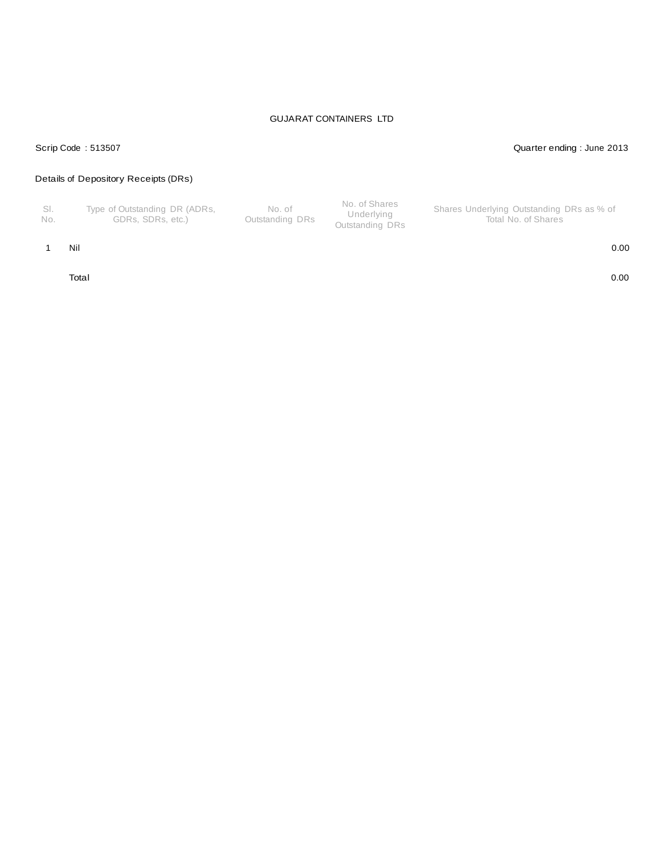#### Scrip Code : 513507 Quarter ending : June 2013

## Details of Depository Receipts (DRs)

| No. | Type of Outstanding DR (ADRs,<br>GDRs. SDRs. etc.) | No. of<br>Outstanding DRs | No. of Shares<br>Underlying<br>Outstanding DRs | Shares Underlying Outstanding DRs as % of<br>Total No. of Shares |
|-----|----------------------------------------------------|---------------------------|------------------------------------------------|------------------------------------------------------------------|
|-----|----------------------------------------------------|---------------------------|------------------------------------------------|------------------------------------------------------------------|

#### 1 Nil 0.00

Total 0.00